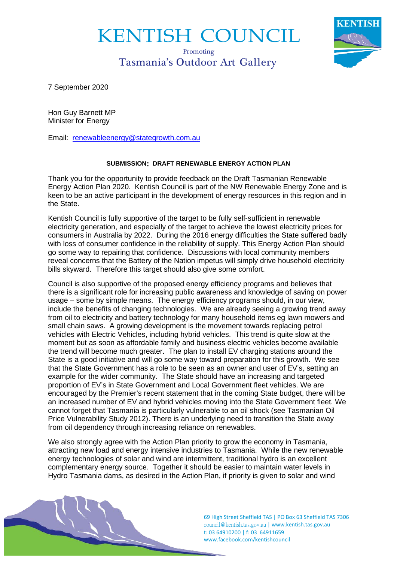## KENTISH COUNCIL

## Promoting Tasmania's Outdoor Art Gallery



7 September 2020

Hon Guy Barnett MP Minister for Energy

Email: [renewableenergy@stategrowth.com.au](mailto:renewableenergy@stategrowth.com.au)

## **SUBMISSION: DRAFT RENEWABLE ENERGY ACTION PLAN**

Thank you for the opportunity to provide feedback on the Draft Tasmanian Renewable Energy Action Plan 2020. Kentish Council is part of the NW Renewable Energy Zone and is keen to be an active participant in the development of energy resources in this region and in the State.

Kentish Council is fully supportive of the target to be fully self-sufficient in renewable electricity generation, and especially of the target to achieve the lowest electricity prices for consumers in Australia by 2022. During the 2016 energy difficulties the State suffered badly with loss of consumer confidence in the reliability of supply. This Energy Action Plan should go some way to repairing that confidence. Discussions with local community members reveal concerns that the Battery of the Nation impetus will simply drive household electricity bills skyward. Therefore this target should also give some comfort.

Council is also supportive of the proposed energy efficiency programs and believes that there is a significant role for increasing public awareness and knowledge of saving on power usage – some by simple means. The energy efficiency programs should, in our view, include the benefits of changing technologies. We are already seeing a growing trend away from oil to electricity and battery technology for many household items eg lawn mowers and small chain saws. A growing development is the movement towards replacing petrol vehicles with Electric Vehicles, including hybrid vehicles. This trend is quite slow at the moment but as soon as affordable family and business electric vehicles become available the trend will become much greater. The plan to install EV charging stations around the State is a good initiative and will go some way toward preparation for this growth. We see that the State Government has a role to be seen as an owner and user of EV's, setting an example for the wider community. The State should have an increasing and targeted proportion of EV's in State Government and Local Government fleet vehicles. We are encouraged by the Premier's recent statement that in the coming State budget, there will be an increased number of EV and hybrid vehicles moving into the State Government fleet. We cannot forget that Tasmania is particularly vulnerable to an oil shock (see Tasmanian Oil Price Vulnerability Study 2012). There is an underlying need to transition the State away from oil dependency through increasing reliance on renewables.

We also strongly agree with the Action Plan priority to grow the economy in Tasmania, attracting new load and energy intensive industries to Tasmania. While the new renewable energy technologies of solar and wind are intermittent, traditional hydro is an excellent complementary energy source. Together it should be easier to maintain water levels in Hydro Tasmania dams, as desired in the Action Plan, if priority is given to solar and wind



69 High Street Sheffield TAS | PO Box 63 Sheffield TAS 7306 [council@kentish.tas.gov.au](mailto:council@kentish.tas.gov.au) | www.kentish.tas.gov.au t: 03 64910200 | f: 03 64911659 www.facebook.com/kentishcouncil